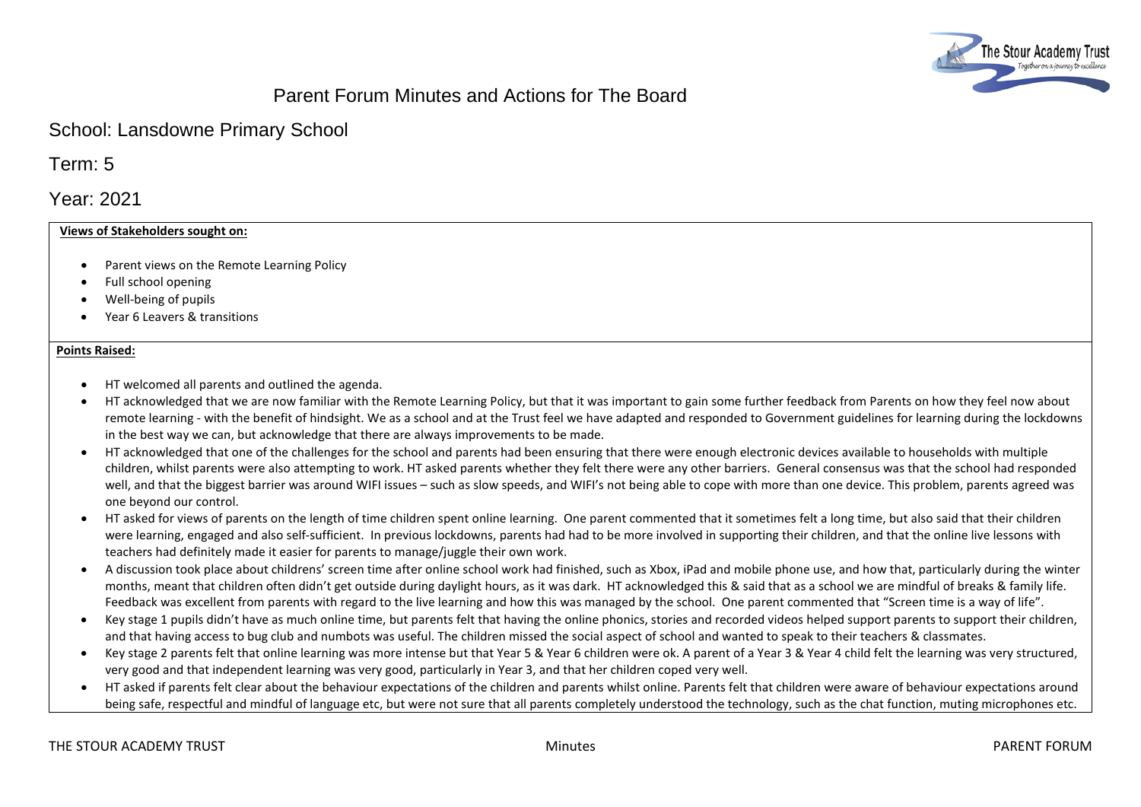

# Parent Forum Minutes and Actions for The Board

## School: Lansdowne Primary School

Term: 5

Year: 2021

## **Views of Stakeholders sought on:**

- Parent views on the Remote Learning Policy
- Full school opening
- Well-being of pupils
- Year 6 Leavers & transitions

#### **Points Raised:**

- HT welcomed all parents and outlined the agenda.
- HT acknowledged that we are now familiar with the Remote Learning Policy, but that it was important to gain some further feedback from Parents on how they feel now about remote learning - with the benefit of hindsight. We as a school and at the Trust feel we have adapted and responded to Government guidelines for learning during the lockdowns in the best way we can, but acknowledge that there are always improvements to be made.
- HT acknowledged that one of the challenges for the school and parents had been ensuring that there were enough electronic devices available to households with multiple children, whilst parents were also attempting to work. HT asked parents whether they felt there were any other barriers. General consensus was that the school had responded well, and that the biggest barrier was around WIFI issues – such as slow speeds, and WIFI's not being able to cope with more than one device. This problem, parents agreed was one beyond our control.
- HT asked for views of parents on the length of time children spent online learning. One parent commented that it sometimes felt a long time, but also said that their children were learning, engaged and also self-sufficient. In previous lockdowns, parents had had to be more involved in supporting their children, and that the online live lessons with teachers had definitely made it easier for parents to manage/juggle their own work.
- A discussion took place about childrens' screen time after online school work had finished, such as Xbox, iPad and mobile phone use, and how that, particularly during the winter months, meant that children often didn't get outside during daylight hours, as it was dark. HT acknowledged this & said that as a school we are mindful of breaks & family life. Feedback was excellent from parents with regard to the live learning and how this was managed by the school. One parent commented that "Screen time is a way of life".
- Key stage 1 pupils didn't have as much online time, but parents felt that having the online phonics, stories and recorded videos helped support parents to support their children, and that having access to bug club and numbots was useful. The children missed the social aspect of school and wanted to speak to their teachers & classmates.
- Key stage 2 parents felt that online learning was more intense but that Year 5 & Year 6 children were ok. A parent of a Year 3 & Year 4 child felt the learning was very structured, very good and that independent learning was very good, particularly in Year 3, and that her children coped very well.
- HT asked if parents felt clear about the behaviour expectations of the children and parents whilst online. Parents felt that children were aware of behaviour expectations around being safe, respectful and mindful of language etc, but were not sure that all parents completely understood the technology, such as the chat function, muting microphones etc.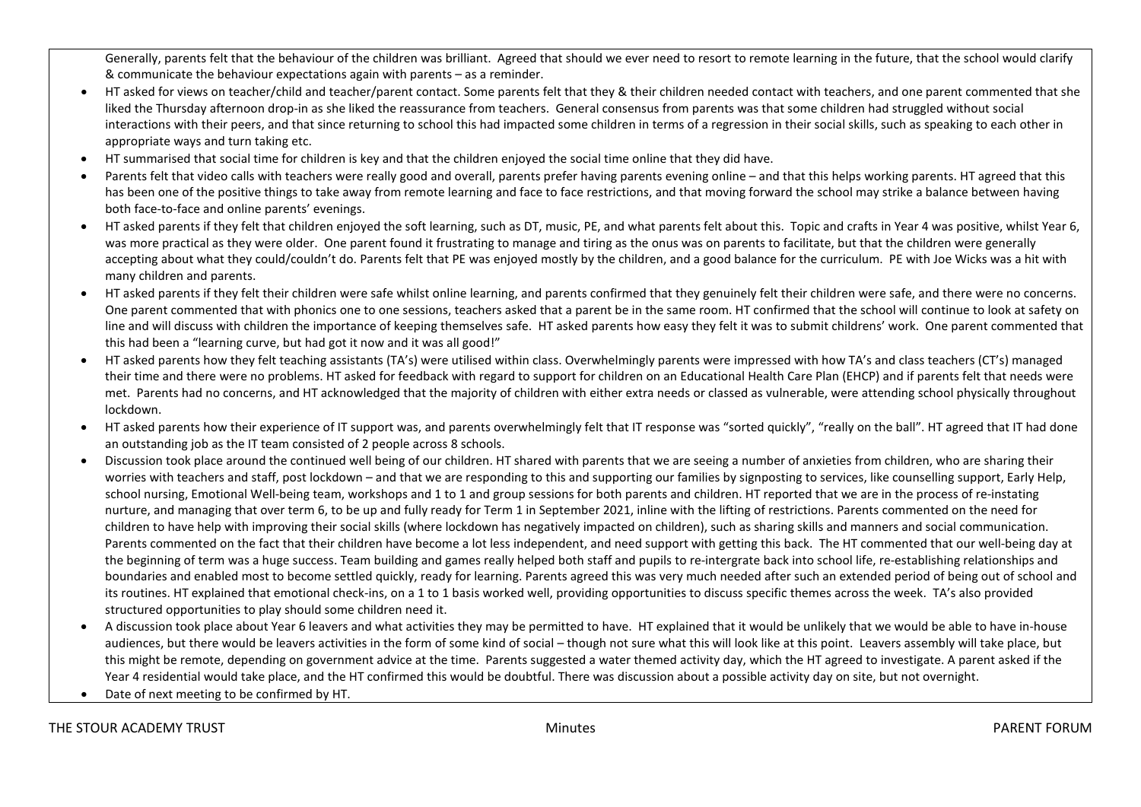Generally, parents felt that the behaviour of the children was brilliant. Agreed that should we ever need to resort to remote learning in the future, that the school would clarify & communicate the behaviour expectations again with parents – as a reminder.

- HT asked for views on teacher/child and teacher/parent contact. Some parents felt that they & their children needed contact with teachers, and one parent commented that she liked the Thursday afternoon drop-in as she liked the reassurance from teachers. General consensus from parents was that some children had struggled without social interactions with their peers, and that since returning to school this had impacted some children in terms of a regression in their social skills, such as speaking to each other in appropriate ways and turn taking etc.
- HT summarised that social time for children is key and that the children enjoyed the social time online that they did have.
- Parents felt that video calls with teachers were really good and overall, parents prefer having parents evening online and that this helps working parents. HT agreed that this has been one of the positive things to take away from remote learning and face to face restrictions, and that moving forward the school may strike a balance between having both face-to-face and online parents' evenings.
- HT asked parents if they felt that children enjoyed the soft learning, such as DT, music, PE, and what parents felt about this. Topic and crafts in Year 4 was positive, whilst Year 6, was more practical as they were older. One parent found it frustrating to manage and tiring as the onus was on parents to facilitate, but that the children were generally accepting about what they could/couldn't do. Parents felt that PE was enjoyed mostly by the children, and a good balance for the curriculum. PE with Joe Wicks was a hit with many children and parents.
- HT asked parents if they felt their children were safe whilst online learning, and parents confirmed that they genuinely felt their children were safe, and there were no concerns. One parent commented that with phonics one to one sessions, teachers asked that a parent be in the same room. HT confirmed that the school will continue to look at safety on line and will discuss with children the importance of keeping themselves safe. HT asked parents how easy they felt it was to submit childrens' work. One parent commented that this had been a "learning curve, but had got it now and it was all good!"
- HT asked parents how they felt teaching assistants (TA's) were utilised within class. Overwhelmingly parents were impressed with how TA's and class teachers (CT's) managed their time and there were no problems. HT asked for feedback with regard to support for children on an Educational Health Care Plan (EHCP) and if parents felt that needs were met. Parents had no concerns, and HT acknowledged that the majority of children with either extra needs or classed as vulnerable, were attending school physically throughout lockdown.
- HT asked parents how their experience of IT support was, and parents overwhelmingly felt that IT response was "sorted quickly", "really on the ball". HT agreed that IT had done an outstanding job as the IT team consisted of 2 people across 8 schools.
- Discussion took place around the continued well being of our children. HT shared with parents that we are seeing a number of anxieties from children, who are sharing their worries with teachers and staff, post lockdown – and that we are responding to this and supporting our families by signposting to services, like counselling support, Early Help, school nursing, Emotional Well-being team, workshops and 1 to 1 and group sessions for both parents and children. HT reported that we are in the process of re-instating nurture, and managing that over term 6, to be up and fully ready for Term 1 in September 2021, inline with the lifting of restrictions. Parents commented on the need for children to have help with improving their social skills (where lockdown has negatively impacted on children), such as sharing skills and manners and social communication. Parents commented on the fact that their children have become a lot less independent, and need support with getting this back. The HT commented that our well-being day at the beginning of term was a huge success. Team building and games really helped both staff and pupils to re-intergrate back into school life, re-establishing relationships and boundaries and enabled most to become settled quickly, ready for learning. Parents agreed this was very much needed after such an extended period of being out of school and its routines. HT explained that emotional check-ins, on a 1 to 1 basis worked well, providing opportunities to discuss specific themes across the week. TA's also provided structured opportunities to play should some children need it.
- A discussion took place about Year 6 leavers and what activities they may be permitted to have. HT explained that it would be unlikely that we would be able to have in-house audiences, but there would be leavers activities in the form of some kind of social – though not sure what this will look like at this point. Leavers assembly will take place, but this might be remote, depending on government advice at the time. Parents suggested a water themed activity day, which the HT agreed to investigate. A parent asked if the Year 4 residential would take place, and the HT confirmed this would be doubtful. There was discussion about a possible activity day on site, but not overnight.
- Date of next meeting to be confirmed by HT.